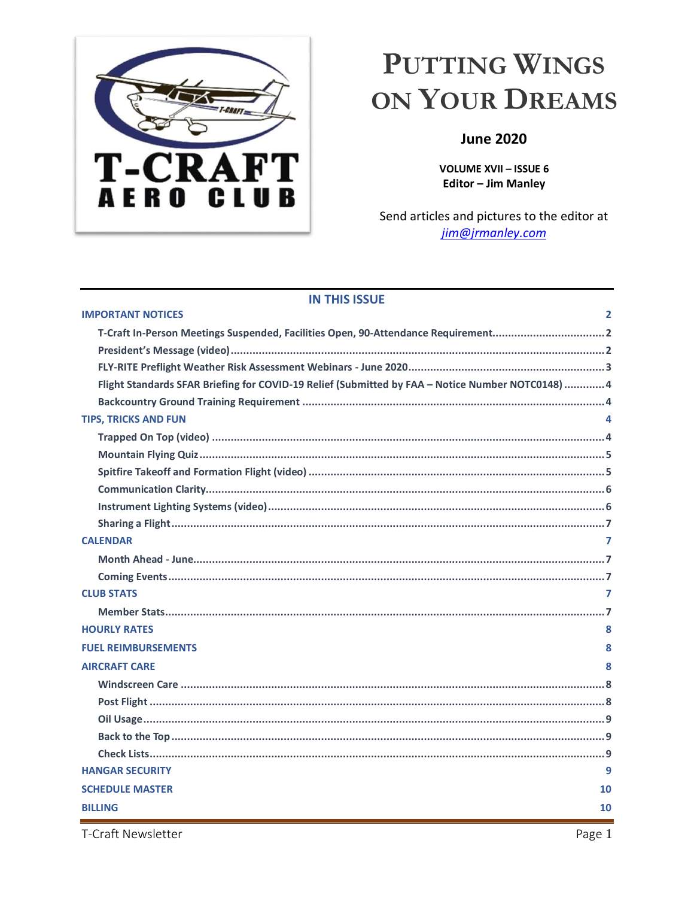

# <span id="page-0-0"></span>**PUTTING WINGS** ON YOUR DREAMS

## **June 2020**

**VOLUME XVII - ISSUE 6 Editor - Jim Manley** 

Send articles and pictures to the editor at jim@jrmanley.com

## **IN THIS ISSUE**

| <b>IMPORTANT NOTICES</b><br>$\overline{2}$                                                        |
|---------------------------------------------------------------------------------------------------|
|                                                                                                   |
|                                                                                                   |
|                                                                                                   |
| Flight Standards SFAR Briefing for COVID-19 Relief (Submitted by FAA - Notice Number NOTC0148)  4 |
|                                                                                                   |
| <b>TIPS, TRICKS AND FUN</b>                                                                       |
|                                                                                                   |
|                                                                                                   |
|                                                                                                   |
|                                                                                                   |
|                                                                                                   |
|                                                                                                   |
| <b>CALENDAR</b><br>7                                                                              |
|                                                                                                   |
|                                                                                                   |
| 7<br><b>CLUB STATS</b>                                                                            |
|                                                                                                   |
| 8<br><b>HOURLY RATES</b>                                                                          |
| <b>FUEL REIMBURSEMENTS</b><br>8                                                                   |
| <b>AIRCRAFT CARE</b><br>8                                                                         |
|                                                                                                   |
|                                                                                                   |
|                                                                                                   |
|                                                                                                   |
|                                                                                                   |
| 9<br><b>HANGAR SECURITY</b>                                                                       |
| <b>SCHEDULE MASTER</b><br>10                                                                      |
| <b>BILLING</b><br>10                                                                              |

T-Craft Newsletter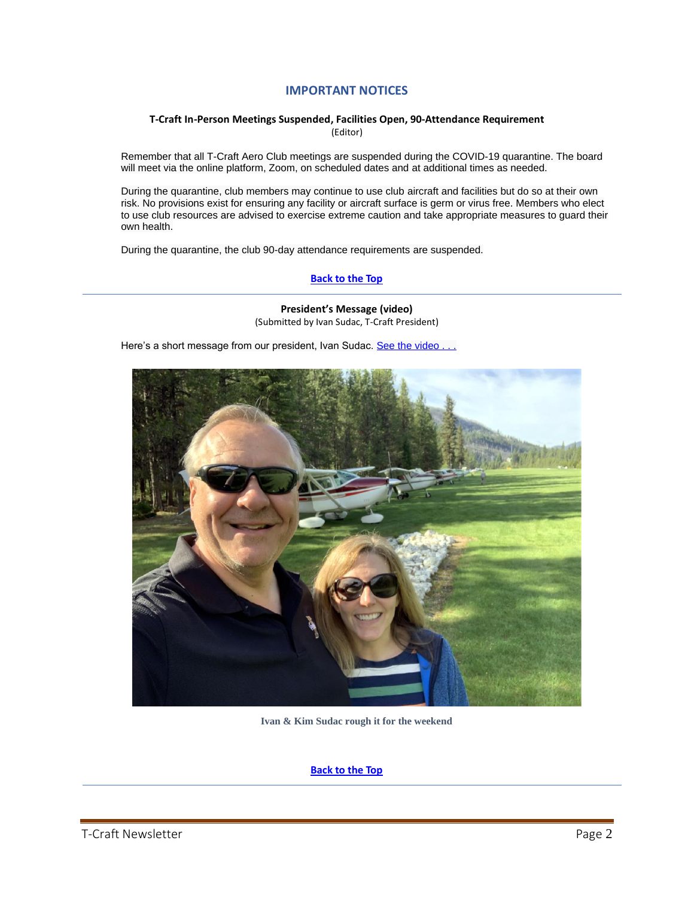## <span id="page-1-0"></span>**IMPORTANT NOTICES**

#### **T-Craft In-Person Meetings Suspended, Facilities Open, 90-Attendance Requirement** (Editor)

<span id="page-1-1"></span>Remember that all T-Craft Aero Club meetings are suspended during the COVID-19 quarantine. The board will meet via the online platform, Zoom, on scheduled dates and at additional times as needed.

During the quarantine, club members may continue to use club aircraft and facilities but do so at their own risk. No provisions exist for ensuring any facility or aircraft surface is germ or virus free. Members who elect to use club resources are advised to exercise extreme caution and take appropriate measures to guard their own health.

During the quarantine, the club 90-day attendance requirements are suspended.

## **[Back](#page-0-0) to the Top**

**President's Message (video)** (Submitted by Ivan Sudac, T-Craft President)

<span id="page-1-2"></span>Here's a short message from our president, Ivan Sudac. See the video . ...



**Ivan & Kim Sudac rough it for the weekend**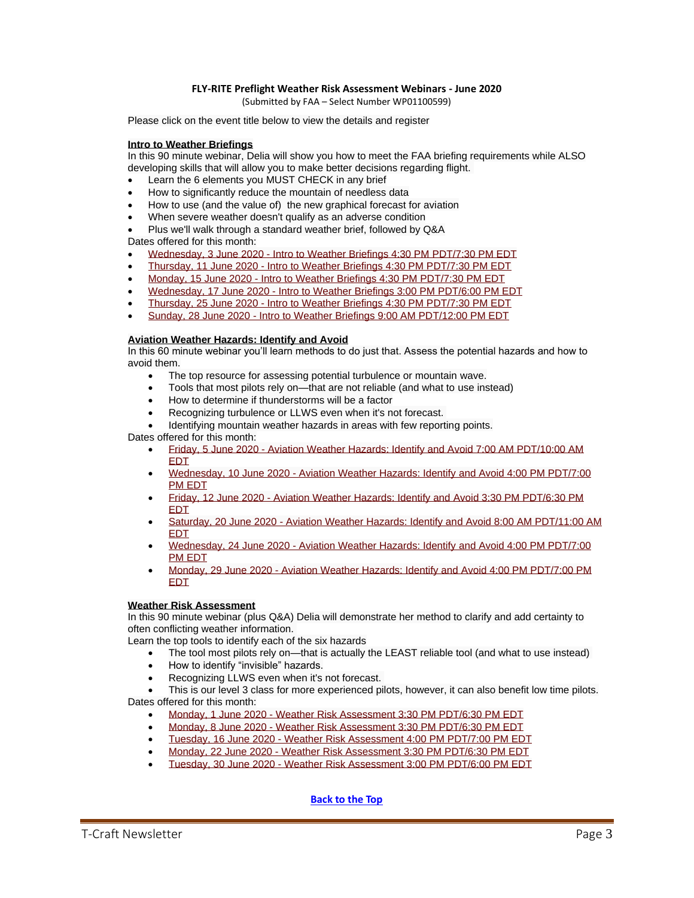#### **FLY-RITE Preflight Weather Risk Assessment Webinars - June 2020**

(Submitted by FAA – Select Number WP01100599)

<span id="page-2-0"></span>Please click on the event title below to view the details and register

#### **Intro to Weather Briefings**

In this 90 minute webinar, Delia will show you how to meet the FAA briefing requirements while ALSO developing skills that will allow you to make better decisions regarding flight.

- Learn the 6 elements you MUST CHECK in any brief
- How to significantly reduce the mountain of needless data
- How to use (and the value of) the new graphical forecast for aviation
- When severe weather doesn't qualify as an adverse condition
- Plus we'll walk through a standard weather brief, followed by Q&A

Dates offered for this month:

- Wednesday, 3 June 2020 [Intro to Weather Briefings 4:30 PM PDT/7:30 PM EDT](https://www.faasafety.gov/SPANS/event_details.aspx?eid=100573)
- Thursday, 11 June 2020 [Intro to Weather Briefings 4:30 PM PDT/7:30 PM EDT](https://www.faasafety.gov/SPANS/event_details.aspx?eid=100577)
- Monday, 15 June 2020 [Intro to Weather Briefings 4:30 PM PDT/7:30 PM EDT](https://www.faasafety.gov/SPANS/event_details.aspx?eid=100589)
- Wednesday, 17 June 2020 [Intro to Weather Briefings 3:00 PM PDT/6:00 PM EDT](https://www.faasafety.gov/SPANS/event_details.aspx?eid=100591)
- Thursday, 25 June 2020 [Intro to Weather Briefings 4:30 PM PDT/7:30 PM EDT](https://www.faasafety.gov/SPANS/event_details.aspx?eid=100595)
- Sunday, 28 June 2020 [Intro to Weather Briefings 9:00 AM PDT/12:00 PM EDT](https://www.faasafety.gov/SPANS/event_details.aspx?eid=100596)

#### **Aviation Weather Hazards: Identify and Avoid**

In this 60 minute webinar you'll learn methods to do just that. Assess the potential hazards and how to avoid them.

- The top resource for assessing potential turbulence or mountain wave.
- Tools that most pilots rely on—that are not reliable (and what to use instead)
- How to determine if thunderstorms will be a factor
- Recognizing turbulence or LLWS even when it's not forecast.
- Identifying mountain weather hazards in areas with few reporting points.

Dates offered for this month:

- Friday, 5 June 2020 [Aviation Weather Hazards: Identify and Avoid 7:00 AM PDT/10:00 AM](https://www.faasafety.gov/SPANS/event_details.aspx?eid=100574)  [EDT](https://www.faasafety.gov/SPANS/event_details.aspx?eid=100574)
- Wednesday, 10 June 2020 [Aviation Weather Hazards: Identify and Avoid 4:00 PM PDT/7:00](https://www.faasafety.gov/SPANS/event_details.aspx?eid=100576)  [PM EDT](https://www.faasafety.gov/SPANS/event_details.aspx?eid=100576)
- Friday, 12 June 2020 [Aviation Weather Hazards: Identify and Avoid 3:30 PM PDT/6:30 PM](https://www.faasafety.gov/SPANS/event_details.aspx?eid=100578)  [EDT](https://www.faasafety.gov/SPANS/event_details.aspx?eid=100578)
- Saturday, 20 June 2020 [Aviation Weather Hazards: Identify and Avoid 8:00 AM PDT/11:00 AM](https://www.faasafety.gov/SPANS/event_details.aspx?eid=100592)  [EDT](https://www.faasafety.gov/SPANS/event_details.aspx?eid=100592)
- Wednesday, 24 June 2020 [Aviation Weather Hazards: Identify and Avoid 4:00 PM PDT/7:00](https://www.faasafety.gov/SPANS/event_details.aspx?eid=100594)  [PM EDT](https://www.faasafety.gov/SPANS/event_details.aspx?eid=100594)
- Monday, 29 June 2020 [Aviation Weather Hazards: Identify and Avoid 4:00 PM PDT/7:00 PM](https://www.faasafety.gov/SPANS/event_details.aspx?eid=100597)  [EDT](https://www.faasafety.gov/SPANS/event_details.aspx?eid=100597)

#### **Weather Risk Assessment**

In this 90 minute webinar (plus Q&A) Delia will demonstrate her method to clarify and add certainty to often conflicting weather information.

Learn the top tools to identify each of the six hazards

- The tool most pilots rely on—that is actually the LEAST reliable tool (and what to use instead)
- How to identify "invisible" hazards.
- Recognizing LLWS even when it's not forecast.

This is our level 3 class for more experienced pilots, however, it can also benefit low time pilots. Dates offered for this month:

- Monday, 1 June 2020 [Weather Risk Assessment 3:30 PM PDT/6:30 PM EDT](https://www.faasafety.gov/SPANS/event_details.aspx?eid=100572)
- Monday, 8 June 2020 [Weather Risk Assessment 3:30 PM PDT/6:30 PM EDT](https://www.faasafety.gov/SPANS/event_details.aspx?eid=100575)
- Tuesday, 16 June 2020 [Weather Risk Assessment 4:00 PM PDT/7:00 PM EDT](https://www.faasafety.gov/SPANS/event_details.aspx?eid=100590)
- Monday, 22 June 2020 [Weather Risk Assessment 3:30 PM PDT/6:30 PM EDT](https://www.faasafety.gov/SPANS/event_details.aspx?eid=100593)
- Tuesday, 30 June 2020 [Weather Risk Assessment 3:00 PM PDT/6:00 PM EDT](https://www.faasafety.gov/SPANS/event_details.aspx?eid=100598)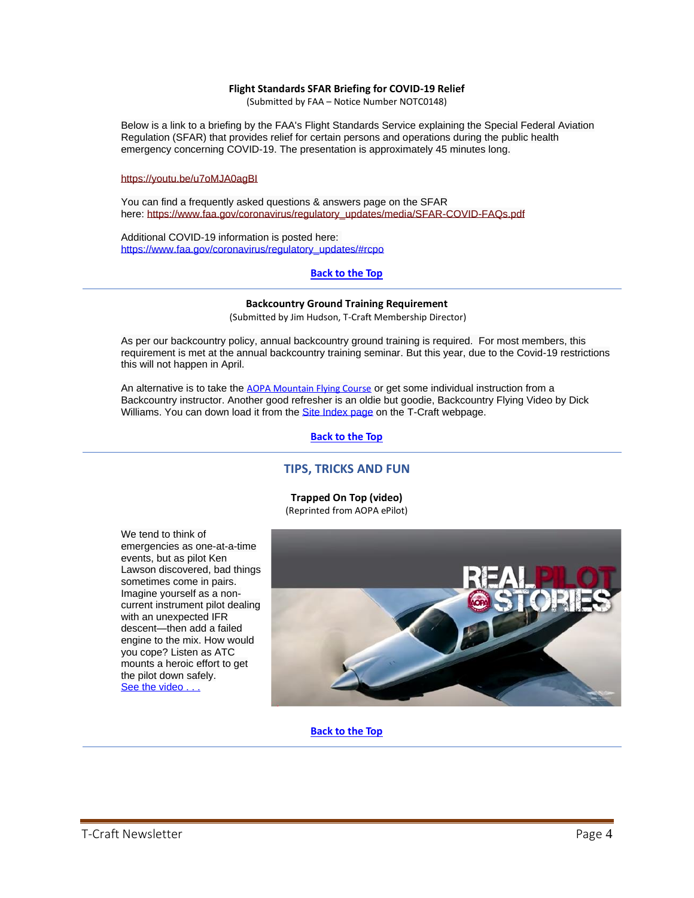#### **Flight Standards SFAR Briefing for COVID-19 Relief**

(Submitted by FAA – Notice Number NOTC0148)

<span id="page-3-0"></span>Below is a link to a briefing by the FAA's Flight Standards Service explaining the Special Federal Aviation Regulation (SFAR) that provides relief for certain persons and operations during the public health emergency concerning COVID-19. The presentation is approximately 45 minutes long.

#### <https://youtu.be/u7oMJA0agBI>

You can find a frequently asked questions & answers page on the SFAR here: [https://www.faa.gov/coronavirus/regulatory\\_updates/media/SFAR-COVID-FAQs.pdf](https://www.faa.gov/coronavirus/regulatory_updates/media/SFAR-COVID-FAQs.pdf)

Additional COVID-19 information is posted here: [https://www.faa.gov/coronavirus/regulatory\\_updates/#rcpo](https://www.faa.gov/coronavirus/regulatory_updates/#rcpo)

## **[Back](#page-0-0) to the Top**

#### **Backcountry Ground Training Requirement**

(Submitted by Jim Hudson, T-Craft Membership Director)

<span id="page-3-1"></span>As per our backcountry policy, annual backcountry ground training is required. For most members, this requirement is met at the annual backcountry training seminar. But this year, due to the Covid-19 restrictions this will not happen in April.

An alternative is to take the [AOPA Mountain Flying Course](https://www.aopa.org/training-and-safety/online-learning/online-courses/mountain-flying) or get some individual instruction from a Backcountry instructor. Another good refresher is an oldie but goodie, Backcountry Flying Video by Dick Williams. You can down load it from the [Site Index page](http://www.t-craft.org/siteindex.htm) on the T-Craft webpage.

## **[Back](#page-0-0) to the Top**

## **TIPS, TRICKS AND FUN**

**Trapped On Top (video)** (Reprinted from AOPA ePilot)

<span id="page-3-3"></span><span id="page-3-2"></span>We tend to think of emergencies as one-at-a-time events, but as pilot Ken Lawson discovered, bad things sometimes come in pairs. Imagine yourself as a noncurrent instrument pilot dealing with an unexpected IFR descent—then add a failed engine to the mix. How would you cope? Listen as ATC mounts a heroic effort to get the pilot down safely. See the video ...

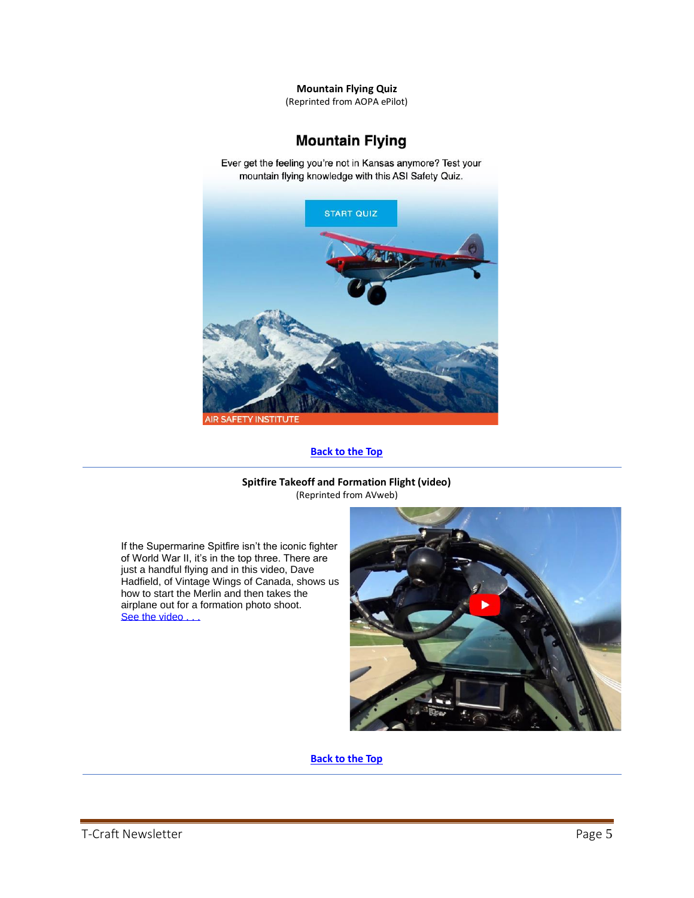#### **Mountain Flying Quiz**

(Reprinted from AOPA ePilot)

# **Mountain Flying**

Ever get the feeling you're not in Kansas anymore? Test your mountain flying knowledge with this ASI Safety Quiz.

<span id="page-4-0"></span>

## **[Back](#page-0-0) to the Top**

**Spitfire Takeoff and Formation Flight (video)** (Reprinted from AVweb)

<span id="page-4-1"></span>If the Supermarine Spitfire isn't the iconic fighter of World War II, it's in the top three. There are just a handful flying and in this video, Dave Hadfield, of Vintage Wings of Canada, shows us how to start the Merlin and then takes the airplane out for a formation photo shoot. See the video.

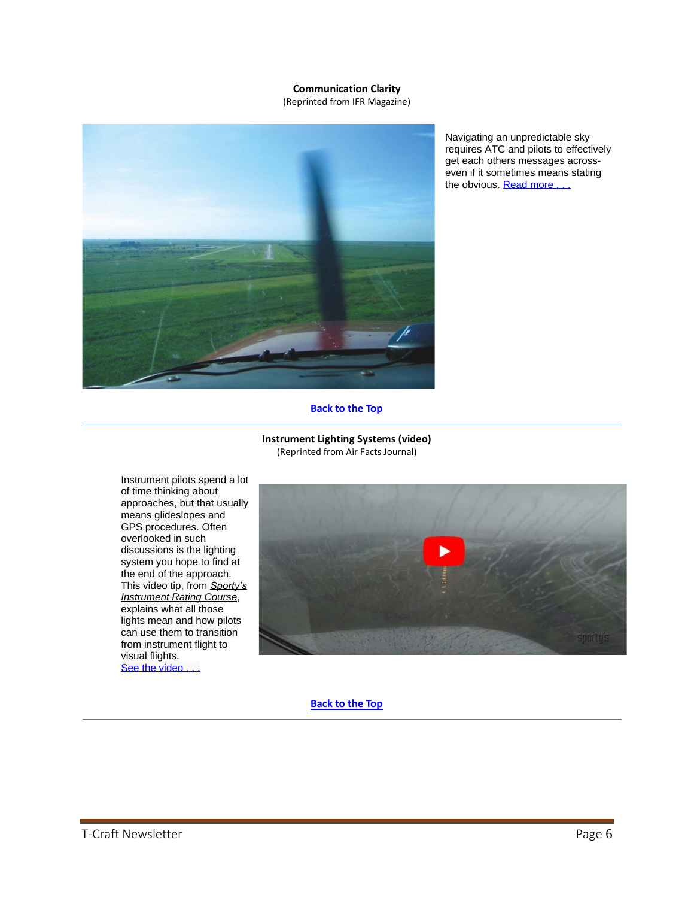## **Communication Clarity**

(Reprinted from IFR Magazine)

<span id="page-5-0"></span>

Navigating an unpredictable sky requires ATC and pilots to effectively get each others messages acrosseven if it sometimes means stating the obvious. Read more ...

## **[Back](#page-0-0) to the Top**

#### **Instrument Lighting Systems (video)** (Reprinted from Air Facts Journal)

<span id="page-5-1"></span>Instrument pilots spend a lot of time thinking about approaches, but that usually means glideslopes and GPS procedures. Often overlooked in such discussions is the lighting system you hope to find at the end of the approach. This video tip, from *[Sporty's](https://www.sportys.com/pilotshop/sporty-s-instrument-rating-course-ipad-iphone-app.html?utm_source=airfacts&utm_medium=referral)  [Instrument Rating Course](https://www.sportys.com/pilotshop/sporty-s-instrument-rating-course-ipad-iphone-app.html?utm_source=airfacts&utm_medium=referral)*, explains what all those lights mean and how pilots can use them to transition from instrument flight to visual flights. See the video.

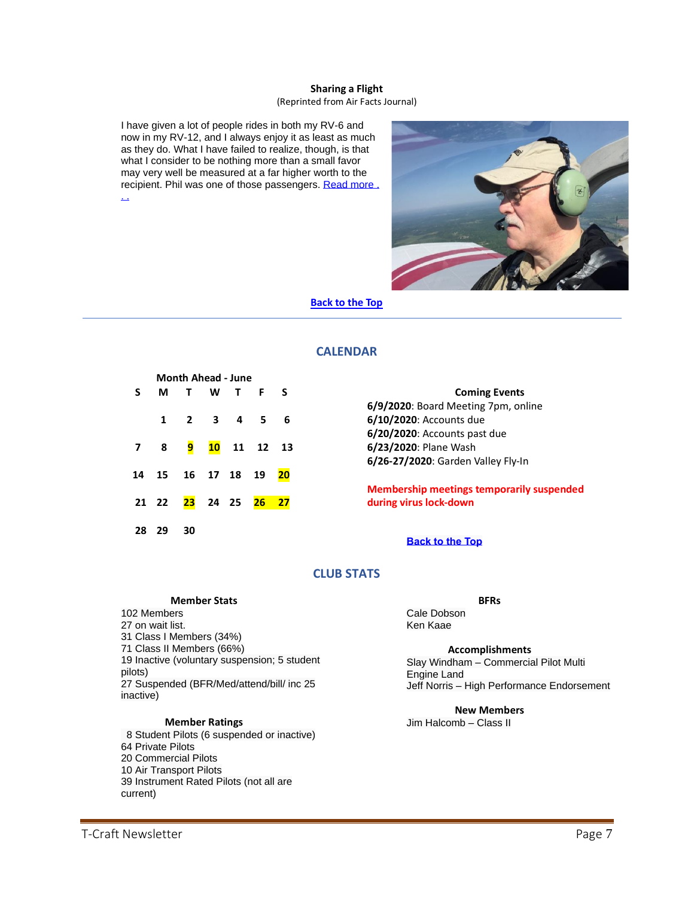#### **Sharing a Flight**

(Reprinted from Air Facts Journal)

<span id="page-6-0"></span>I have given a lot of people rides in both my RV-6 and now in my RV-12, and I always enjoy it as least as much as they do. What I have failed to realize, though, is that what I consider to be nothing more than a small favor may very well be measured at a far higher worth to the recipient. Phil was one of those passengers. [Read more .](https://airfactsjournal.com/2016/02/unforgettable-pasenger-power-sharing-flight/?trk_msg=JQGESIP0JP3K9C23QL6MHM7UBK&trk_contact=MKV6USO5FB6J2JQLHFE00O3F1O&trk_sid=F3FCNDEF8PBD4HN9T6SKSEJM3C&utm_source=Listrak&utm_medium=Email&utm_term=READ+MORE&utm_campaign=F20054A&utm_content=If+Only...+The+Friends+I%27ve+Lost+In+Airplane+Accidents)  [. .](https://airfactsjournal.com/2016/02/unforgettable-pasenger-power-sharing-flight/?trk_msg=JQGESIP0JP3K9C23QL6MHM7UBK&trk_contact=MKV6USO5FB6J2JQLHFE00O3F1O&trk_sid=F3FCNDEF8PBD4HN9T6SKSEJM3C&utm_source=Listrak&utm_medium=Email&utm_term=READ+MORE&utm_campaign=F20054A&utm_content=If+Only...+The+Friends+I%27ve+Lost+In+Airplane+Accidents)



## **[Back](#page-0-0) to the Top**

## **CALENDAR**

<span id="page-6-2"></span><span id="page-6-1"></span>

| <b>Month Ahead - June</b> |                    |                                                  |  |  |                          |          |  |
|---------------------------|--------------------|--------------------------------------------------|--|--|--------------------------|----------|--|
| S                         |                    | M T W T F                                        |  |  |                          | <b>S</b> |  |
|                           |                    | $1$ 2 3 4 5                                      |  |  |                          | 6        |  |
|                           | 7 8 <mark>9</mark> |                                                  |  |  | <mark>10</mark> 11 12 13 |          |  |
|                           |                    | 14    15    16    17    18    19 <mark>20</mark> |  |  |                          |          |  |
|                           |                    | 21 22 23 24 25 26 27                             |  |  |                          |          |  |
| 28 29                     |                    | 30                                               |  |  |                          |          |  |

## **Coming Events**

<span id="page-6-3"></span>**6/9/2020**: Board Meeting 7pm, online **6/10/2020**: Accounts due **6/20/2020**: Accounts past due **6/23/2020**: Plane Wash **6/26-27/2020**: Garden Valley Fly-In

**Membership meetings temporarily suspended during virus lock-down**

#### **[Back](#page-0-0) to the Top**

## **CLUB STATS**

#### **Member Stats**

<span id="page-6-5"></span><span id="page-6-4"></span>102 Members on wait list. Class I Members (34%) Class II Members (66%) Inactive (voluntary suspension; 5 student pilots) Suspended (BFR/Med/attend/bill/ inc 25 inactive)

#### **Member Ratings**

 Student Pilots (6 suspended or inactive) Private Pilots Commercial Pilots Air Transport Pilots Instrument Rated Pilots (not all are current)

#### **BFRs**

Cale Dobson Ken Kaae

#### **Accomplishments**

Slay Windham – Commercial Pilot Multi Engine Land Jeff Norris – High Performance Endorsement

**New Members** Jim Halcomb – Class II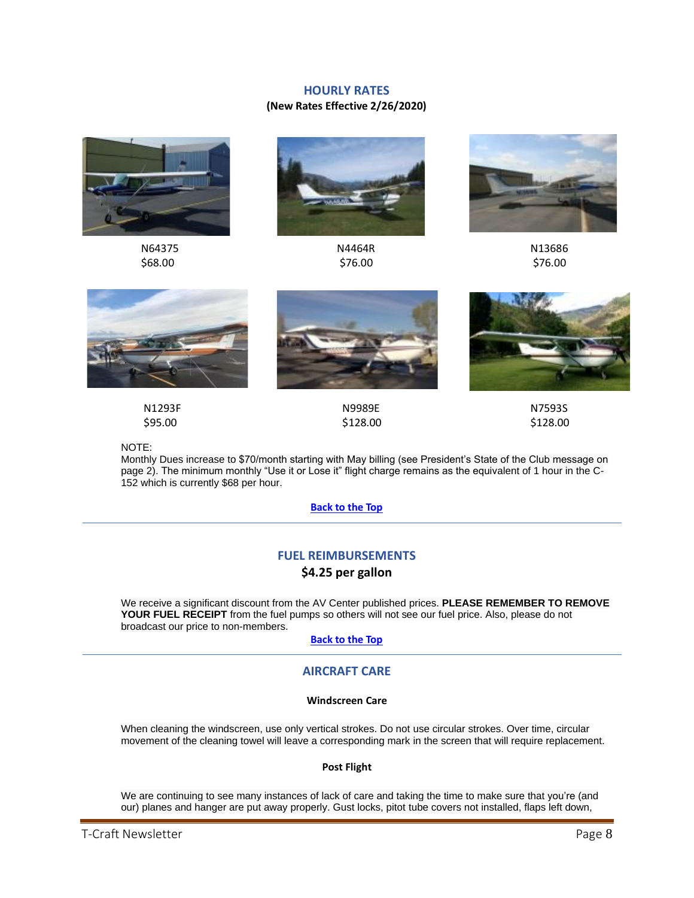### **HOURLY RATES**

## **(New Rates Effective 2/26/2020)**

<span id="page-7-0"></span>



 N64375 N4464R N13686  $$68.00$  \$76.00 \$76.00







N1293F N9989E N7593S



 $$95.00$   $$128.00$   $$128.00$ 

NOTE:

Monthly Dues increase to \$70/month starting with May billing (see President's State of the Club message on page 2). The minimum monthly "Use it or Lose it" flight charge remains as the equivalent of 1 hour in the C-152 which is currently \$68 per hour.

## **[Back](#page-0-0) to the Top**

## **FUEL REIMBURSEMENTS**

**\$4.25 per gallon**

<span id="page-7-1"></span>We receive a significant discount from the AV Center published prices. **PLEASE REMEMBER TO REMOVE YOUR FUEL RECEIPT** from the fuel pumps so others will not see our fuel price. Also, please do not broadcast our price to non-members.

#### **[Back](#page-0-0) to the Top**

## **AIRCRAFT CARE**

#### **Windscreen Care**

<span id="page-7-3"></span><span id="page-7-2"></span>When cleaning the windscreen, use only vertical strokes. Do not use circular strokes. Over time, circular movement of the cleaning towel will leave a corresponding mark in the screen that will require replacement.

#### **Post Flight**

<span id="page-7-4"></span>We are continuing to see many instances of lack of care and taking the time to make sure that you're (and our) planes and hanger are put away properly. Gust locks, pitot tube covers not installed, flaps left down,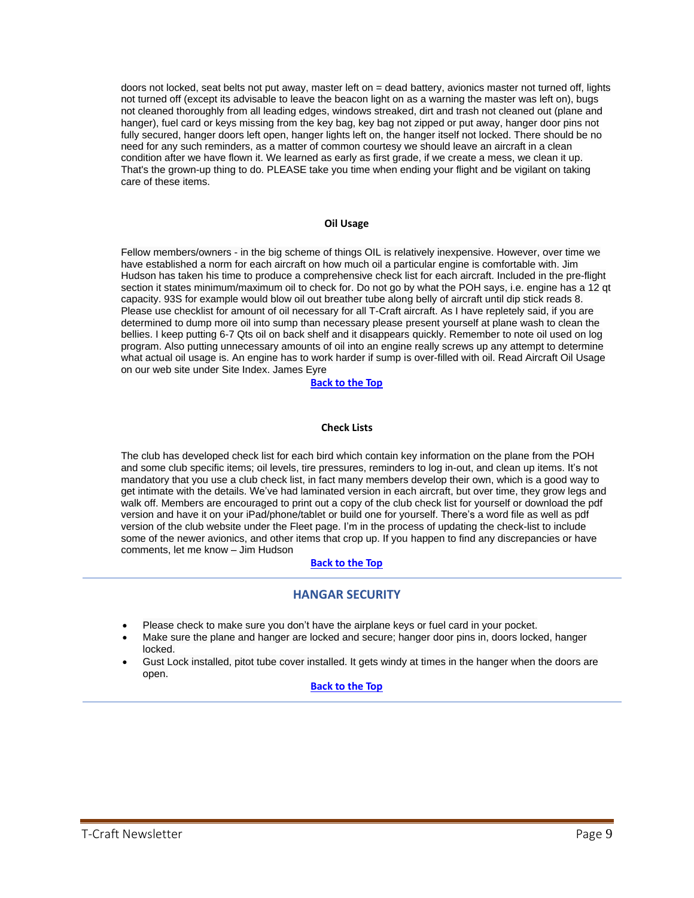doors not locked, seat belts not put away, master left on = dead battery, avionics master not turned off, lights not turned off (except its advisable to leave the beacon light on as a warning the master was left on), bugs not cleaned thoroughly from all leading edges, windows streaked, dirt and trash not cleaned out (plane and hanger), fuel card or keys missing from the key bag, key bag not zipped or put away, hanger door pins not fully secured, hanger doors left open, hanger lights left on, the hanger itself not locked. There should be no need for any such reminders, as a matter of common courtesy we should leave an aircraft in a clean condition after we have flown it. We learned as early as first grade, if we create a mess, we clean it up. That's the grown-up thing to do. PLEASE take you time when ending your flight and be vigilant on taking care of these items.

#### **Oil Usage**

<span id="page-8-0"></span>Fellow members/owners - in the big scheme of things OIL is relatively inexpensive. However, over time we have established a norm for each aircraft on how much oil a particular engine is comfortable with. Jim Hudson has taken his time to produce a comprehensive check list for each aircraft. Included in the pre-flight section it states minimum/maximum oil to check for. Do not go by what the POH says, i.e. engine has a 12 gt capacity. 93S for example would blow oil out breather tube along belly of aircraft until dip stick reads 8. Please use checklist for amount of oil necessary for all T-Craft aircraft. As I have repletely said, if you are determined to dump more oil into sump than necessary please present yourself at plane wash to clean the bellies. I keep putting 6-7 Qts oil on back shelf and it disappears quickly. Remember to note oil used on log program. Also putting unnecessary amounts of oil into an engine really screws up any attempt to determine what actual oil usage is. An engine has to work harder if sump is over-filled with oil. Read Aircraft Oil Usage on our web site under Site Index. James Eyre

#### <span id="page-8-1"></span>**[Back](#page-0-0) to the Top**

#### **Check Lists**

<span id="page-8-2"></span>The club has developed check list for each bird which contain key information on the plane from the POH and some club specific items; oil levels, tire pressures, reminders to log in-out, and clean up items. It's not mandatory that you use a club check list, in fact many members develop their own, which is a good way to get intimate with the details. We've had laminated version in each aircraft, but over time, they grow legs and walk off. Members are encouraged to print out a copy of the club check list for yourself or download the pdf version and have it on your iPad/phone/tablet or build one for yourself. There's a word file as well as pdf version of the club website under the Fleet page. I'm in the process of updating the check-list to include some of the newer avionics, and other items that crop up. If you happen to find any discrepancies or have comments, let me know – Jim Hudson

## **[Back](#page-0-0) to the Top**

## **HANGAR SECURITY**

- <span id="page-8-3"></span>• Please check to make sure you don't have the airplane keys or fuel card in your pocket.
- Make sure the plane and hanger are locked and secure; hanger door pins in, doors locked, hanger locked.
- <span id="page-8-4"></span>• Gust Lock installed, pitot tube cover installed. It gets windy at times in the hanger when the doors are open.